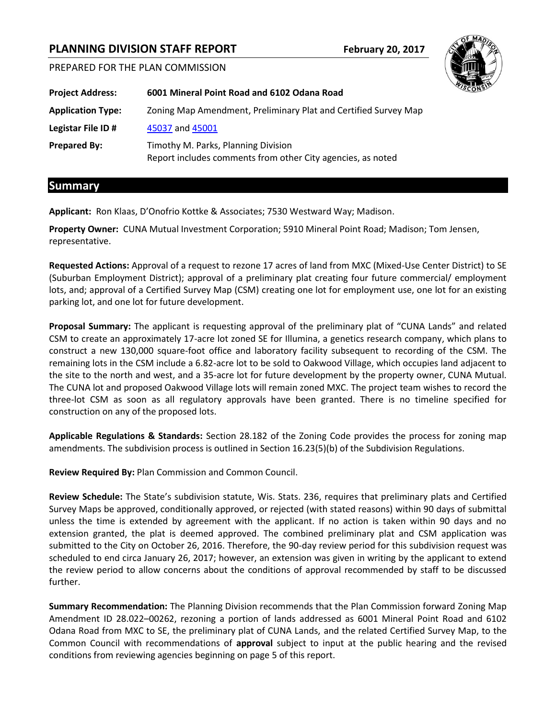# **PLANNING DIVISION STAFF REPORT February 20, 2017**

PREPARED FOR THE PLAN COMMISSION

| <b>Project Address:</b>  | 6001 Mineral Point Road and 6102 Odana Road                                                        |
|--------------------------|----------------------------------------------------------------------------------------------------|
| <b>Application Type:</b> | Zoning Map Amendment, Preliminary Plat and Certified Survey Map                                    |
| Legistar File ID #       | 45037 and 45001                                                                                    |
| <b>Prepared By:</b>      | Timothy M. Parks, Planning Division<br>Report includes comments from other City agencies, as noted |

## **Summary**

**Applicant:** Ron Klaas, D'Onofrio Kottke & Associates; 7530 Westward Way; Madison.

**Property Owner:** CUNA Mutual Investment Corporation; 5910 Mineral Point Road; Madison; Tom Jensen, representative.

**Requested Actions:** Approval of a request to rezone 17 acres of land from MXC (Mixed-Use Center District) to SE (Suburban Employment District); approval of a preliminary plat creating four future commercial/ employment lots, and; approval of a Certified Survey Map (CSM) creating one lot for employment use, one lot for an existing parking lot, and one lot for future development.

**Proposal Summary:** The applicant is requesting approval of the preliminary plat of "CUNA Lands" and related CSM to create an approximately 17-acre lot zoned SE for Illumina, a genetics research company, which plans to construct a new 130,000 square-foot office and laboratory facility subsequent to recording of the CSM. The remaining lots in the CSM include a 6.82-acre lot to be sold to Oakwood Village, which occupies land adjacent to the site to the north and west, and a 35-acre lot for future development by the property owner, CUNA Mutual. The CUNA lot and proposed Oakwood Village lots will remain zoned MXC. The project team wishes to record the three-lot CSM as soon as all regulatory approvals have been granted. There is no timeline specified for construction on any of the proposed lots.

**Applicable Regulations & Standards:** Section 28.182 of the Zoning Code provides the process for zoning map amendments. The subdivision process is outlined in Section 16.23(5)(b) of the Subdivision Regulations.

**Review Required By:** Plan Commission and Common Council.

**Review Schedule:** The State's subdivision statute, Wis. Stats. 236, requires that preliminary plats and Certified Survey Maps be approved, conditionally approved, or rejected (with stated reasons) within 90 days of submittal unless the time is extended by agreement with the applicant. If no action is taken within 90 days and no extension granted, the plat is deemed approved. The combined preliminary plat and CSM application was submitted to the City on October 26, 2016. Therefore, the 90-day review period for this subdivision request was scheduled to end circa January 26, 2017; however, an extension was given in writing by the applicant to extend the review period to allow concerns about the conditions of approval recommended by staff to be discussed further.

**Summary Recommendation:** The Planning Division recommends that the Plan Commission forward Zoning Map Amendment ID 28.022–00262, rezoning a portion of lands addressed as 6001 Mineral Point Road and 6102 Odana Road from MXC to SE, the preliminary plat of CUNA Lands, and the related Certified Survey Map, to the Common Council with recommendations of **approval** subject to input at the public hearing and the revised conditions from reviewing agencies beginning on page 5 of this report.

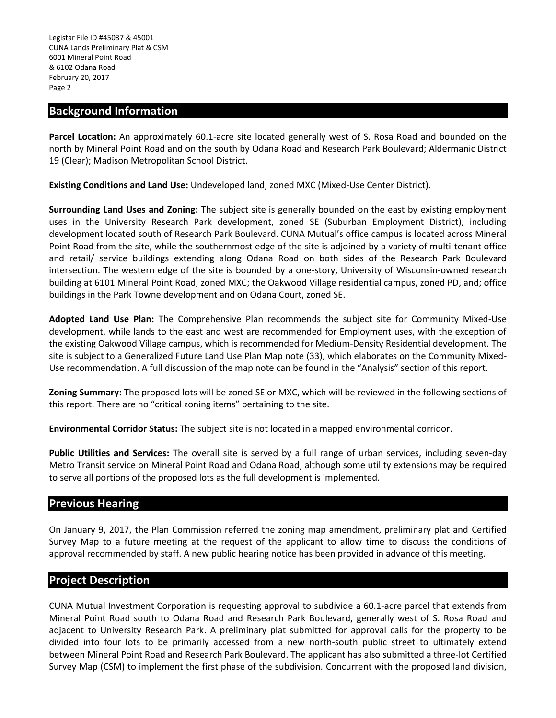### **Background Information**

**Parcel Location:** An approximately 60.1-acre site located generally west of S. Rosa Road and bounded on the north by Mineral Point Road and on the south by Odana Road and Research Park Boulevard; Aldermanic District 19 (Clear); Madison Metropolitan School District.

**Existing Conditions and Land Use:** Undeveloped land, zoned MXC (Mixed-Use Center District).

**Surrounding Land Uses and Zoning:** The subject site is generally bounded on the east by existing employment uses in the University Research Park development, zoned SE (Suburban Employment District), including development located south of Research Park Boulevard. CUNA Mutual's office campus is located across Mineral Point Road from the site, while the southernmost edge of the site is adjoined by a variety of multi-tenant office and retail/ service buildings extending along Odana Road on both sides of the Research Park Boulevard intersection. The western edge of the site is bounded by a one-story, University of Wisconsin-owned research building at 6101 Mineral Point Road, zoned MXC; the Oakwood Village residential campus, zoned PD, and; office buildings in the Park Towne development and on Odana Court, zoned SE.

**Adopted Land Use Plan:** The Comprehensive Plan recommends the subject site for Community Mixed-Use development, while lands to the east and west are recommended for Employment uses, with the exception of the existing Oakwood Village campus, which is recommended for Medium-Density Residential development. The site is subject to a Generalized Future Land Use Plan Map note (33), which elaborates on the Community Mixed-Use recommendation. A full discussion of the map note can be found in the "Analysis" section of this report.

**Zoning Summary:** The proposed lots will be zoned SE or MXC, which will be reviewed in the following sections of this report. There are no "critical zoning items" pertaining to the site.

**Environmental Corridor Status:** The subject site is not located in a mapped environmental corridor.

**Public Utilities and Services:** The overall site is served by a full range of urban services, including seven-day Metro Transit service on Mineral Point Road and Odana Road, although some utility extensions may be required to serve all portions of the proposed lots as the full development is implemented.

## **Previous Hearing**

On January 9, 2017, the Plan Commission referred the zoning map amendment, preliminary plat and Certified Survey Map to a future meeting at the request of the applicant to allow time to discuss the conditions of approval recommended by staff. A new public hearing notice has been provided in advance of this meeting.

## **Project Description**

CUNA Mutual Investment Corporation is requesting approval to subdivide a 60.1-acre parcel that extends from Mineral Point Road south to Odana Road and Research Park Boulevard, generally west of S. Rosa Road and adjacent to University Research Park. A preliminary plat submitted for approval calls for the property to be divided into four lots to be primarily accessed from a new north-south public street to ultimately extend between Mineral Point Road and Research Park Boulevard. The applicant has also submitted a three-lot Certified Survey Map (CSM) to implement the first phase of the subdivision. Concurrent with the proposed land division,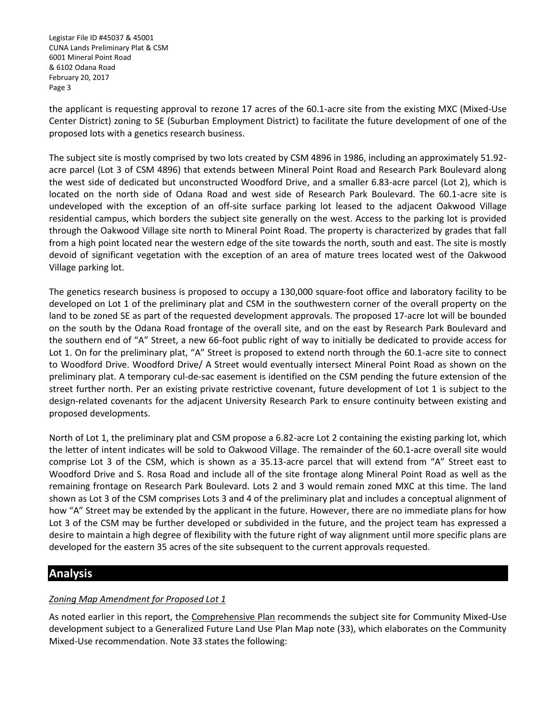the applicant is requesting approval to rezone 17 acres of the 60.1-acre site from the existing MXC (Mixed-Use Center District) zoning to SE (Suburban Employment District) to facilitate the future development of one of the proposed lots with a genetics research business.

The subject site is mostly comprised by two lots created by CSM 4896 in 1986, including an approximately 51.92 acre parcel (Lot 3 of CSM 4896) that extends between Mineral Point Road and Research Park Boulevard along the west side of dedicated but unconstructed Woodford Drive, and a smaller 6.83-acre parcel (Lot 2), which is located on the north side of Odana Road and west side of Research Park Boulevard. The 60.1-acre site is undeveloped with the exception of an off-site surface parking lot leased to the adjacent Oakwood Village residential campus, which borders the subject site generally on the west. Access to the parking lot is provided through the Oakwood Village site north to Mineral Point Road. The property is characterized by grades that fall from a high point located near the western edge of the site towards the north, south and east. The site is mostly devoid of significant vegetation with the exception of an area of mature trees located west of the Oakwood Village parking lot.

The genetics research business is proposed to occupy a 130,000 square-foot office and laboratory facility to be developed on Lot 1 of the preliminary plat and CSM in the southwestern corner of the overall property on the land to be zoned SE as part of the requested development approvals. The proposed 17-acre lot will be bounded on the south by the Odana Road frontage of the overall site, and on the east by Research Park Boulevard and the southern end of "A" Street, a new 66-foot public right of way to initially be dedicated to provide access for Lot 1. On for the preliminary plat, "A" Street is proposed to extend north through the 60.1-acre site to connect to Woodford Drive. Woodford Drive/ A Street would eventually intersect Mineral Point Road as shown on the preliminary plat. A temporary cul-de-sac easement is identified on the CSM pending the future extension of the street further north. Per an existing private restrictive covenant, future development of Lot 1 is subject to the design-related covenants for the adjacent University Research Park to ensure continuity between existing and proposed developments.

North of Lot 1, the preliminary plat and CSM propose a 6.82-acre Lot 2 containing the existing parking lot, which the letter of intent indicates will be sold to Oakwood Village. The remainder of the 60.1-acre overall site would comprise Lot 3 of the CSM, which is shown as a 35.13-acre parcel that will extend from "A" Street east to Woodford Drive and S. Rosa Road and include all of the site frontage along Mineral Point Road as well as the remaining frontage on Research Park Boulevard. Lots 2 and 3 would remain zoned MXC at this time. The land shown as Lot 3 of the CSM comprises Lots 3 and 4 of the preliminary plat and includes a conceptual alignment of how "A" Street may be extended by the applicant in the future. However, there are no immediate plans for how Lot 3 of the CSM may be further developed or subdivided in the future, and the project team has expressed a desire to maintain a high degree of flexibility with the future right of way alignment until more specific plans are developed for the eastern 35 acres of the site subsequent to the current approvals requested.

## **Analysis**

## *Zoning Map Amendment for Proposed Lot 1*

As noted earlier in this report, the Comprehensive Plan recommends the subject site for Community Mixed-Use development subject to a Generalized Future Land Use Plan Map note (33), which elaborates on the Community Mixed-Use recommendation. Note 33 states the following: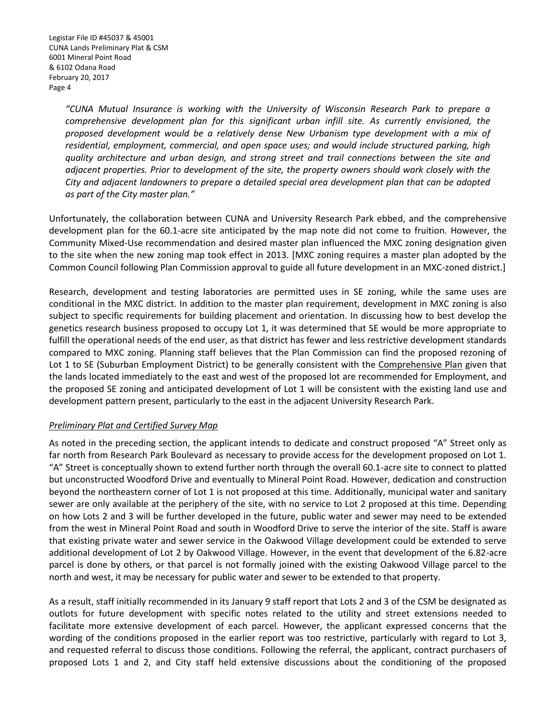*"CUNA Mutual Insurance is working with the University of Wisconsin Research Park to prepare a comprehensive development plan for this significant urban infill site. As currently envisioned, the proposed development would be a relatively dense New Urbanism type development with a mix of residential, employment, commercial, and open space uses; and would include structured parking, high quality architecture and urban design, and strong street and trail connections between the site and adjacent properties. Prior to development of the site, the property owners should work closely with the City and adjacent landowners to prepare a detailed special area development plan that can be adopted as part of the City master plan."*

Unfortunately, the collaboration between CUNA and University Research Park ebbed, and the comprehensive development plan for the 60.1-acre site anticipated by the map note did not come to fruition. However, the Community Mixed-Use recommendation and desired master plan influenced the MXC zoning designation given to the site when the new zoning map took effect in 2013. [MXC zoning requires a master plan adopted by the Common Council following Plan Commission approval to guide all future development in an MXC-zoned district.]

Research, development and testing laboratories are permitted uses in SE zoning, while the same uses are conditional in the MXC district. In addition to the master plan requirement, development in MXC zoning is also subject to specific requirements for building placement and orientation. In discussing how to best develop the genetics research business proposed to occupy Lot 1, it was determined that SE would be more appropriate to fulfill the operational needs of the end user, as that district has fewer and less restrictive development standards compared to MXC zoning. Planning staff believes that the Plan Commission can find the proposed rezoning of Lot 1 to SE (Suburban Employment District) to be generally consistent with the Comprehensive Plan given that the lands located immediately to the east and west of the proposed lot are recommended for Employment, and the proposed SE zoning and anticipated development of Lot 1 will be consistent with the existing land use and development pattern present, particularly to the east in the adjacent University Research Park.

#### *Preliminary Plat and Certified Survey Map*

As noted in the preceding section, the applicant intends to dedicate and construct proposed "A" Street only as far north from Research Park Boulevard as necessary to provide access for the development proposed on Lot 1. "A" Street is conceptually shown to extend further north through the overall 60.1-acre site to connect to platted but unconstructed Woodford Drive and eventually to Mineral Point Road. However, dedication and construction beyond the northeastern corner of Lot 1 is not proposed at this time. Additionally, municipal water and sanitary sewer are only available at the periphery of the site, with no service to Lot 2 proposed at this time. Depending on how Lots 2 and 3 will be further developed in the future, public water and sewer may need to be extended from the west in Mineral Point Road and south in Woodford Drive to serve the interior of the site. Staff is aware that existing private water and sewer service in the Oakwood Village development could be extended to serve additional development of Lot 2 by Oakwood Village. However, in the event that development of the 6.82-acre parcel is done by others, or that parcel is not formally joined with the existing Oakwood Village parcel to the north and west, it may be necessary for public water and sewer to be extended to that property.

As a result, staff initially recommended in its January 9 staff report that Lots 2 and 3 of the CSM be designated as outlots for future development with specific notes related to the utility and street extensions needed to facilitate more extensive development of each parcel. However, the applicant expressed concerns that the wording of the conditions proposed in the earlier report was too restrictive, particularly with regard to Lot 3, and requested referral to discuss those conditions. Following the referral, the applicant, contract purchasers of proposed Lots 1 and 2, and City staff held extensive discussions about the conditioning of the proposed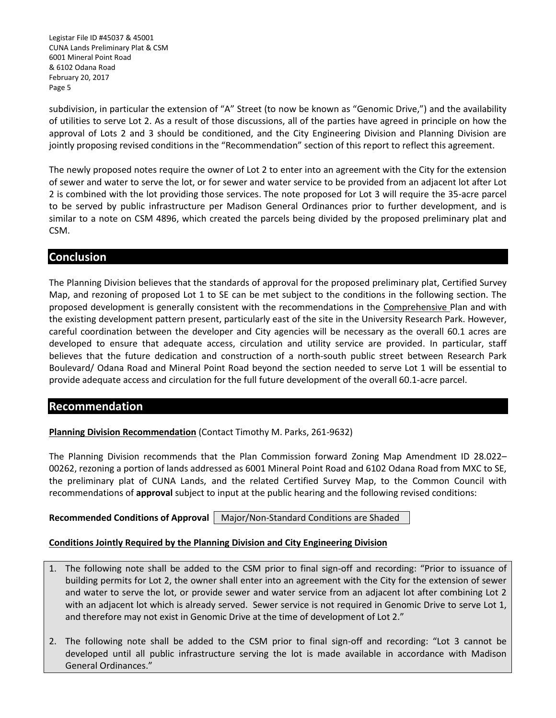Legistar File ID #45037 & 45001 CUNA Lands Preliminary Plat & CSM 6001 Mineral Point Road & 6102 Odana Road February 20, 2017 Page 5

subdivision, in particular the extension of "A" Street (to now be known as "Genomic Drive,") and the availability of utilities to serve Lot 2. As a result of those discussions, all of the parties have agreed in principle on how the approval of Lots 2 and 3 should be conditioned, and the City Engineering Division and Planning Division are jointly proposing revised conditions in the "Recommendation" section of this report to reflect this agreement.

The newly proposed notes require the owner of Lot 2 to enter into an agreement with the City for the extension of sewer and water to serve the lot, or for sewer and water service to be provided from an adjacent lot after Lot 2 is combined with the lot providing those services. The note proposed for Lot 3 will require the 35-acre parcel to be served by public infrastructure per Madison General Ordinances prior to further development, and is similar to a note on CSM 4896, which created the parcels being divided by the proposed preliminary plat and CSM.

## **Conclusion**

The Planning Division believes that the standards of approval for the proposed preliminary plat, Certified Survey Map, and rezoning of proposed Lot 1 to SE can be met subject to the conditions in the following section. The proposed development is generally consistent with the recommendations in the Comprehensive Plan and with the existing development pattern present, particularly east of the site in the University Research Park. However, careful coordination between the developer and City agencies will be necessary as the overall 60.1 acres are developed to ensure that adequate access, circulation and utility service are provided. In particular, staff believes that the future dedication and construction of a north-south public street between Research Park Boulevard/ Odana Road and Mineral Point Road beyond the section needed to serve Lot 1 will be essential to provide adequate access and circulation for the full future development of the overall 60.1-acre parcel.

## **Recommendation**

**Planning Division Recommendation** (Contact Timothy M. Parks, 261-9632)

The Planning Division recommends that the Plan Commission forward Zoning Map Amendment ID 28.022– 00262, rezoning a portion of lands addressed as 6001 Mineral Point Road and 6102 Odana Road from MXC to SE, the preliminary plat of CUNA Lands, and the related Certified Survey Map, to the Common Council with recommendations of **approval** subject to input at the public hearing and the following revised conditions:

**Recommended Conditions of Approval | Major/Non-Standard Conditions are Shaded.** 

#### **Conditions Jointly Required by the Planning Division and City Engineering Division**

- 1. The following note shall be added to the CSM prior to final sign-off and recording: "Prior to issuance of building permits for Lot 2, the owner shall enter into an agreement with the City for the extension of sewer and water to serve the lot, or provide sewer and water service from an adjacent lot after combining Lot 2 with an adjacent lot which is already served. Sewer service is not required in Genomic Drive to serve Lot 1, and therefore may not exist in Genomic Drive at the time of development of Lot 2."
- 2. The following note shall be added to the CSM prior to final sign-off and recording: "Lot 3 cannot be developed until all public infrastructure serving the lot is made available in accordance with Madison General Ordinances."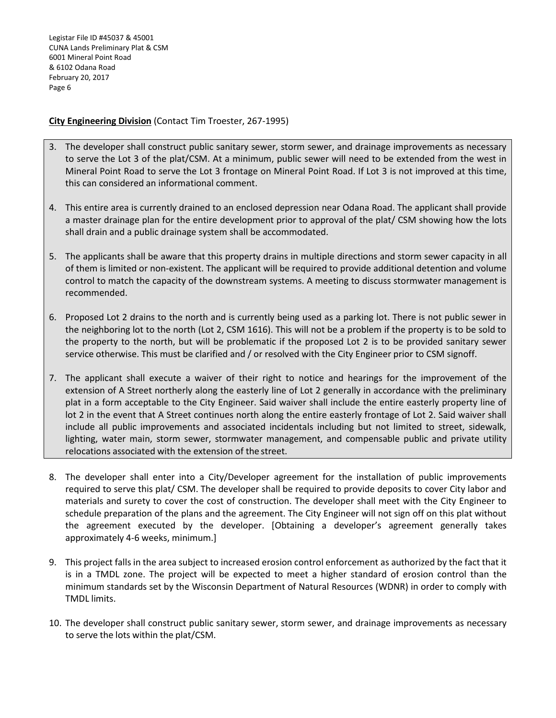Legistar File ID #45037 & 45001 CUNA Lands Preliminary Plat & CSM 6001 Mineral Point Road & 6102 Odana Road February 20, 2017 Page 6

### **City Engineering Division** (Contact Tim Troester, 267-1995)

- 3. The developer shall construct public sanitary sewer, storm sewer, and drainage improvements as necessary to serve the Lot 3 of the plat/CSM. At a minimum, public sewer will need to be extended from the west in Mineral Point Road to serve the Lot 3 frontage on Mineral Point Road. If Lot 3 is not improved at this time, this can considered an informational comment.
- 4. This entire area is currently drained to an enclosed depression near Odana Road. The applicant shall provide a master drainage plan for the entire development prior to approval of the plat/ CSM showing how the lots shall drain and a public drainage system shall be accommodated.
- 5. The applicants shall be aware that this property drains in multiple directions and storm sewer capacity in all of them is limited or non-existent. The applicant will be required to provide additional detention and volume control to match the capacity of the downstream systems. A meeting to discuss stormwater management is recommended.
- 6. Proposed Lot 2 drains to the north and is currently being used as a parking lot. There is not public sewer in the neighboring lot to the north (Lot 2, CSM 1616). This will not be a problem if the property is to be sold to the property to the north, but will be problematic if the proposed Lot 2 is to be provided sanitary sewer service otherwise. This must be clarified and / or resolved with the City Engineer prior to CSM signoff.
- 7. The applicant shall execute a waiver of their right to notice and hearings for the improvement of the extension of A Street northerly along the easterly line of Lot 2 generally in accordance with the preliminary plat in a form acceptable to the City Engineer. Said waiver shall include the entire easterly property line of lot 2 in the event that A Street continues north along the entire easterly frontage of Lot 2. Said waiver shall include all public improvements and associated incidentals including but not limited to street, sidewalk, lighting, water main, storm sewer, stormwater management, and compensable public and private utility relocations associated with the extension of the street.
- 8. The developer shall enter into a City/Developer agreement for the installation of public improvements required to serve this plat/ CSM. The developer shall be required to provide deposits to cover City labor and materials and surety to cover the cost of construction. The developer shall meet with the City Engineer to schedule preparation of the plans and the agreement. The City Engineer will not sign off on this plat without the agreement executed by the developer. [Obtaining a developer's agreement generally takes approximately 4-6 weeks, minimum.]
- 9. This project falls in the area subject to increased erosion control enforcement as authorized by the fact that it is in a TMDL zone. The project will be expected to meet a higher standard of erosion control than the minimum standards set by the Wisconsin Department of Natural Resources (WDNR) in order to comply with TMDL limits.
- 10. The developer shall construct public sanitary sewer, storm sewer, and drainage improvements as necessary to serve the lots within the plat/CSM.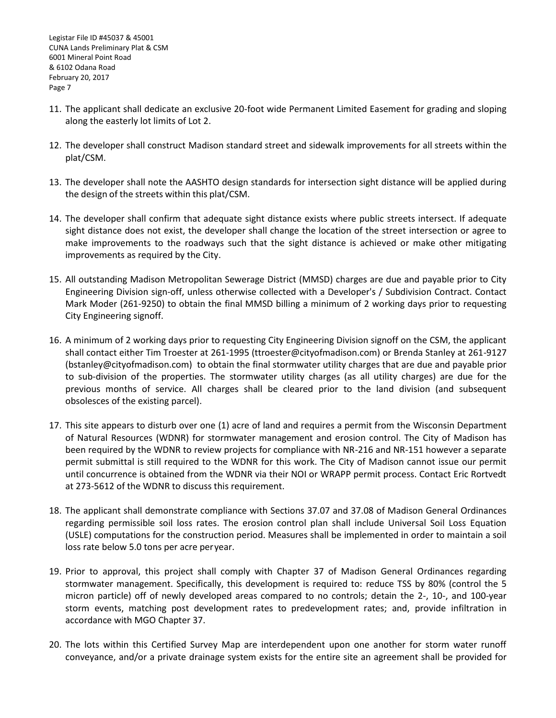- 11. The applicant shall dedicate an exclusive 20-foot wide Permanent Limited Easement for grading and sloping along the easterly lot limits of Lot 2.
- 12. The developer shall construct Madison standard street and sidewalk improvements for all streets within the plat/CSM.
- 13. The developer shall note the AASHTO design standards for intersection sight distance will be applied during the design of the streets within this plat/CSM.
- 14. The developer shall confirm that adequate sight distance exists where public streets intersect. If adequate sight distance does not exist, the developer shall change the location of the street intersection or agree to make improvements to the roadways such that the sight distance is achieved or make other mitigating improvements as required by the City.
- 15. All outstanding Madison Metropolitan Sewerage District (MMSD) charges are due and payable prior to City Engineering Division sign-off, unless otherwise collected with a Developer's / Subdivision Contract. Contact Mark Moder (261-9250) to obtain the final MMSD billing a minimum of 2 working days prior to requesting City Engineering signoff.
- 16. A minimum of 2 working days prior to requesting City Engineering Division signoff on the CSM, the applicant shall contact either Tim Troester at 261-1995 (ttroester@cityofmadison.com) or Brenda Stanley at 261-9127 (bstanley@cityofmadison.com) to obtain the final stormwater utility charges that are due and payable prior to sub-division of the properties. The stormwater utility charges (as all utility charges) are due for the previous months of service. All charges shall be cleared prior to the land division (and subsequent obsolesces of the existing parcel).
- 17. This site appears to disturb over one (1) acre of land and requires a permit from the Wisconsin Department of Natural Resources (WDNR) for stormwater management and erosion control. The City of Madison has been required by the WDNR to review projects for compliance with NR-216 and NR-151 however a separate permit submittal is still required to the WDNR for this work. The City of Madison cannot issue our permit until concurrence is obtained from the WDNR via their NOI or WRAPP permit process. Contact Eric Rortvedt at 273-5612 of the WDNR to discuss this requirement.
- 18. The applicant shall demonstrate compliance with Sections 37.07 and 37.08 of Madison General Ordinances regarding permissible soil loss rates. The erosion control plan shall include Universal Soil Loss Equation (USLE) computations for the construction period. Measures shall be implemented in order to maintain a soil loss rate below 5.0 tons per acre peryear.
- 19. Prior to approval, this project shall comply with Chapter 37 of Madison General Ordinances regarding stormwater management. Specifically, this development is required to: reduce TSS by 80% (control the 5 micron particle) off of newly developed areas compared to no controls; detain the 2-, 10-, and 100-year storm events, matching post development rates to predevelopment rates; and, provide infiltration in accordance with MGO Chapter 37.
- 20. The lots within this Certified Survey Map are interdependent upon one another for storm water runoff conveyance, and/or a private drainage system exists for the entire site an agreement shall be provided for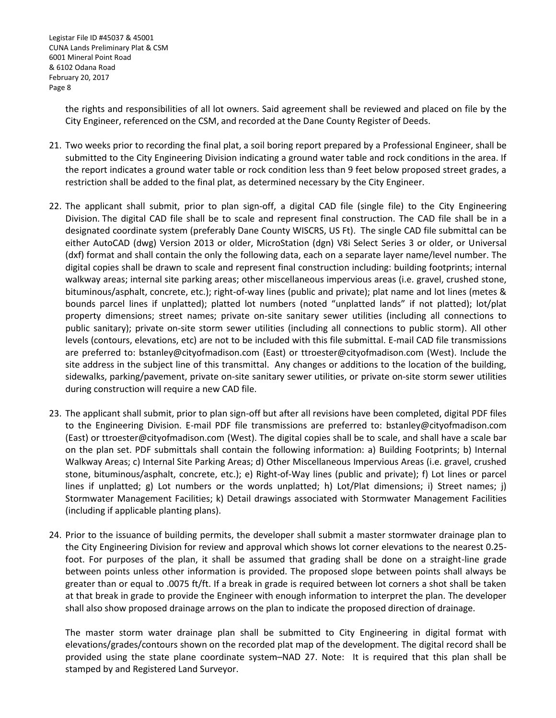the rights and responsibilities of all lot owners. Said agreement shall be reviewed and placed on file by the City Engineer, referenced on the CSM, and recorded at the Dane County Register of Deeds.

- 21. Two weeks prior to recording the final plat, a soil boring report prepared by a Professional Engineer, shall be submitted to the City Engineering Division indicating a ground water table and rock conditions in the area. If the report indicates a ground water table or rock condition less than 9 feet below proposed street grades, a restriction shall be added to the final plat, as determined necessary by the City Engineer.
- 22. The applicant shall submit, prior to plan sign-off, a digital CAD file (single file) to the City Engineering Division. The digital CAD file shall be to scale and represent final construction. The CAD file shall be in a designated coordinate system (preferably Dane County WISCRS, US Ft). The single CAD file submittal can be either AutoCAD (dwg) Version 2013 or older, MicroStation (dgn) V8i Select Series 3 or older, or Universal (dxf) format and shall contain the only the following data, each on a separate layer name/level number. The digital copies shall be drawn to scale and represent final construction including: building footprints; internal walkway areas; internal site parking areas; other miscellaneous impervious areas (i.e. gravel, crushed stone, bituminous/asphalt, concrete, etc.); right-of-way lines (public and private); plat name and lot lines (metes & bounds parcel lines if unplatted); platted lot numbers (noted "unplatted lands" if not platted); lot/plat property dimensions; street names; private on-site sanitary sewer utilities (including all connections to public sanitary); private on-site storm sewer utilities (including all connections to public storm). All other levels (contours, elevations, etc) are not to be included with this file submittal. E-mail CAD file transmissions are preferred to: [bstanley@cityofmadison.com](mailto:bstanley@cityofmadison.com) (East) or [ttroester@cityofmadison.com](mailto:ttroester@cityofmadison.com) (West). Include the site address in the subject line of this transmittal. Any changes or additions to the location of the building, sidewalks, parking/pavement, private on-site sanitary sewer utilities, or private on-site storm sewer utilities during construction will require a new CAD file.
- 23. The applicant shall submit, prior to plan sign-off but after all revisions have been completed, digital PDF files to the Engineering Division. E-mail PDF file transmissions are preferred to: [bstanley@cityofmadison.com](mailto:bstanley@cityofmadison.com) (East) or [ttroester@cityofmadison.com](mailto:ttroester@cityofmadison.com) (West). The digital copies shall be to scale, and shall have a scale bar on the plan set. PDF submittals shall contain the following information: a) Building Footprints; b) Internal Walkway Areas; c) Internal Site Parking Areas; d) Other Miscellaneous Impervious Areas (i.e. gravel, crushed stone, bituminous/asphalt, concrete, etc.); e) Right-of-Way lines (public and private); f) Lot lines or parcel lines if unplatted; g) Lot numbers or the words unplatted; h) Lot/Plat dimensions; i) Street names; j) Stormwater Management Facilities; k) Detail drawings associated with Stormwater Management Facilities (including if applicable planting plans).
- 24. Prior to the issuance of building permits, the developer shall submit a master stormwater drainage plan to the City Engineering Division for review and approval which shows lot corner elevations to the nearest 0.25 foot. For purposes of the plan, it shall be assumed that grading shall be done on a straight-line grade between points unless other information is provided. The proposed slope between points shall always be greater than or equal to .0075 ft/ft. If a break in grade is required between lot corners a shot shall be taken at that break in grade to provide the Engineer with enough information to interpret the plan. The developer shall also show proposed drainage arrows on the plan to indicate the proposed direction of drainage.

The master storm water drainage plan shall be submitted to City Engineering in digital format with elevations/grades/contours shown on the recorded plat map of the development. The digital record shall be provided using the state plane coordinate system–NAD 27. Note: It is required that this plan shall be stamped by and Registered Land Surveyor.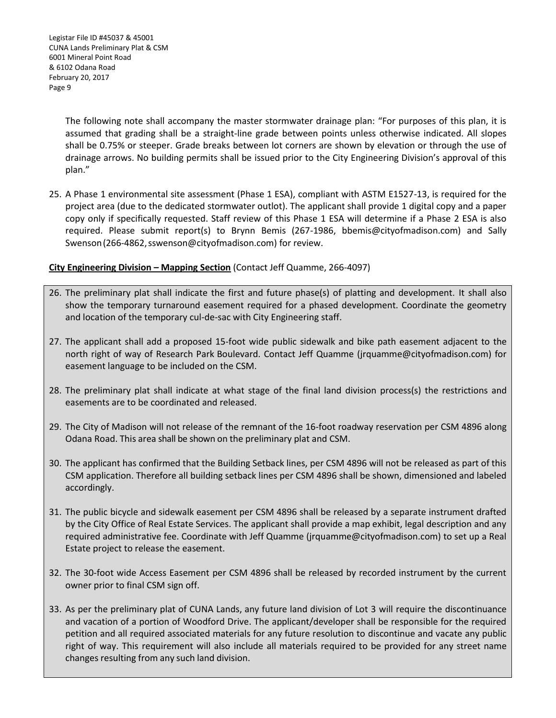The following note shall accompany the master stormwater drainage plan: "For purposes of this plan, it is assumed that grading shall be a straight-line grade between points unless otherwise indicated. All slopes shall be 0.75% or steeper. Grade breaks between lot corners are shown by elevation or through the use of drainage arrows. No building permits shall be issued prior to the City Engineering Division's approval of this plan."

25. A Phase 1 environmental site assessment (Phase 1 ESA), compliant with ASTM E1527-13, is required for the project area (due to the dedicated stormwater outlot). The applicant shall provide 1 digital copy and a paper copy only if specifically requested. Staff review of this Phase 1 ESA will determine if a Phase 2 ESA is also required. Please submit report(s) to Brynn Bemis (267-1986, bbemis@cityofmadison.com) and Sally Swenson (266-4862, sswenson@cityofmadison.com) for review.

## **City Engineering Division – Mapping Section** (Contact Jeff Quamme, 266-4097)

- 26. The preliminary plat shall indicate the first and future phase(s) of platting and development. It shall also show the temporary turnaround easement required for a phased development. Coordinate the geometry and location of the temporary cul-de-sac with City Engineering staff.
- 27. The applicant shall add a proposed 15-foot wide public sidewalk and bike path easement adjacent to the north right of way of Research Park Boulevard. Contact Jeff Quamme (jrquamme@cityofmadison.com) for easement language to be included on the CSM.
- 28. The preliminary plat shall indicate at what stage of the final land division process(s) the restrictions and easements are to be coordinated and released.
- 29. The City of Madison will not release of the remnant of the 16-foot roadway reservation per CSM 4896 along Odana Road. This area shall be shown on the preliminary plat and CSM.
- 30. The applicant has confirmed that the Building Setback lines, per CSM 4896 will not be released as part of this CSM application. Therefore all building setback lines per CSM 4896 shall be shown, dimensioned and labeled accordingly.
- 31. The public bicycle and sidewalk easement per CSM 4896 shall be released by a separate instrument drafted by the City Office of Real Estate Services. The applicant shall provide a map exhibit, legal description and any required administrative fee. Coordinate with Jeff Quamme (jrquamme@cityofmadison.com) to set up a Real Estate project to release the easement.
- 32. The 30-foot wide Access Easement per CSM 4896 shall be released by recorded instrument by the current owner prior to final CSM sign off.
- 33. As per the preliminary plat of CUNA Lands, any future land division of Lot 3 will require the discontinuance and vacation of a portion of Woodford Drive. The applicant/developer shall be responsible for the required petition and all required associated materials for any future resolution to discontinue and vacate any public right of way. This requirement will also include all materials required to be provided for any street name changes resulting from any such land division.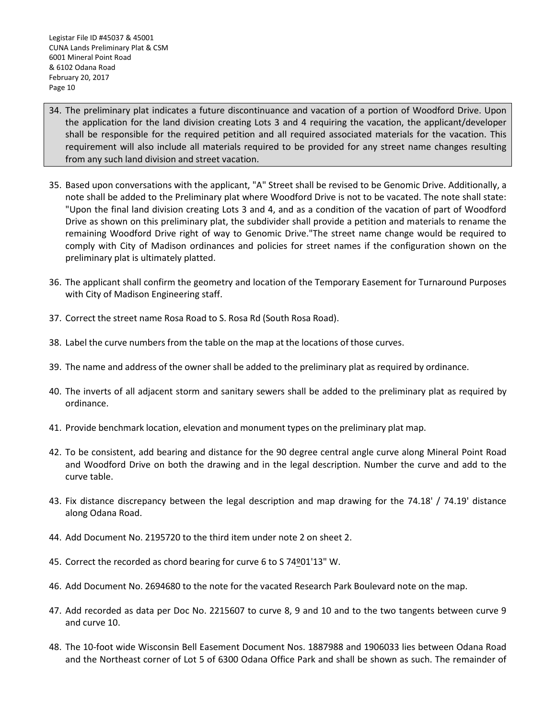- 34. The preliminary plat indicates a future discontinuance and vacation of a portion of Woodford Drive. Upon the application for the land division creating Lots 3 and 4 requiring the vacation, the applicant/developer shall be responsible for the required petition and all required associated materials for the vacation. This requirement will also include all materials required to be provided for any street name changes resulting from any such land division and street vacation.
- 35. Based upon conversations with the applicant, "A" Street shall be revised to be Genomic Drive. Additionally, a note shall be added to the Preliminary plat where Woodford Drive is not to be vacated. The note shall state: "Upon the final land division creating Lots 3 and 4, and as a condition of the vacation of part of Woodford Drive as shown on this preliminary plat, the subdivider shall provide a petition and materials to rename the remaining Woodford Drive right of way to Genomic Drive."The street name change would be required to comply with City of Madison ordinances and policies for street names if the configuration shown on the preliminary plat is ultimately platted.
- 36. The applicant shall confirm the geometry and location of the Temporary Easement for Turnaround Purposes with City of Madison Engineering staff.
- 37. Correct the street name Rosa Road to S. Rosa Rd (South Rosa Road).
- 38. Label the curve numbers from the table on the map at the locations of those curves.
- 39. The name and address of the owner shall be added to the preliminary plat as required by ordinance.
- 40. The inverts of all adjacent storm and sanitary sewers shall be added to the preliminary plat as required by ordinance.
- 41. Provide benchmark location, elevation and monument types on the preliminary plat map.
- 42. To be consistent, add bearing and distance for the 90 degree central angle curve along Mineral Point Road and Woodford Drive on both the drawing and in the legal description. Number the curve and add to the curve table.
- 43. Fix distance discrepancy between the legal description and map drawing for the 74.18' / 74.19' distance along Odana Road.
- 44. Add Document No. 2195720 to the third item under note 2 on sheet 2.
- 45. Correct the recorded as chord bearing for curve 6 to S 74º01'13" W.
- 46. Add Document No. 2694680 to the note for the vacated Research Park Boulevard note on the map.
- 47. Add recorded as data per Doc No. 2215607 to curve 8, 9 and 10 and to the two tangents between curve 9 and curve 10.
- 48. The 10-foot wide Wisconsin Bell Easement Document Nos. 1887988 and 1906033 lies between Odana Road and the Northeast corner of Lot 5 of 6300 Odana Office Park and shall be shown as such. The remainder of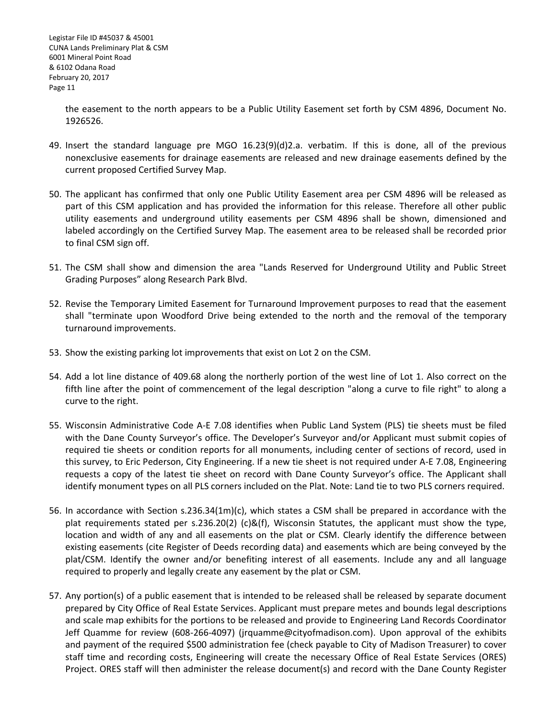the easement to the north appears to be a Public Utility Easement set forth by CSM 4896, Document No. 1926526.

- 49. Insert the standard language pre MGO 16.23(9)(d)2.a. verbatim. If this is done, all of the previous nonexclusive easements for drainage easements are released and new drainage easements defined by the current proposed Certified Survey Map.
- 50. The applicant has confirmed that only one Public Utility Easement area per CSM 4896 will be released as part of this CSM application and has provided the information for this release. Therefore all other public utility easements and underground utility easements per CSM 4896 shall be shown, dimensioned and labeled accordingly on the Certified Survey Map. The easement area to be released shall be recorded prior to final CSM sign off.
- 51. The CSM shall show and dimension the area "Lands Reserved for Underground Utility and Public Street Grading Purposes" along Research Park Blvd.
- 52. Revise the Temporary Limited Easement for Turnaround Improvement purposes to read that the easement shall "terminate upon Woodford Drive being extended to the north and the removal of the temporary turnaround improvements.
- 53. Show the existing parking lot improvements that exist on Lot 2 on the CSM.
- 54. Add a lot line distance of 409.68 along the northerly portion of the west line of Lot 1. Also correct on the fifth line after the point of commencement of the legal description "along a curve to file right" to along a curve to the right.
- 55. Wisconsin Administrative Code A-E 7.08 identifies when Public Land System (PLS) tie sheets must be filed with the Dane County Surveyor's office. The Developer's Surveyor and/or Applicant must submit copies of required tie sheets or condition reports for all monuments, including center of sections of record, used in this survey, to Eric Pederson, City Engineering. If a new tie sheet is not required under A-E 7.08, Engineering requests a copy of the latest tie sheet on record with Dane County Surveyor's office. The Applicant shall identify monument types on all PLS corners included on the Plat. Note: Land tie to two PLS corners required.
- 56. In accordance with Section s.236.34(1m)(c), which states a CSM shall be prepared in accordance with the plat requirements stated per s.236.20(2) (c)&(f), Wisconsin Statutes, the applicant must show the type, location and width of any and all easements on the plat or CSM. Clearly identify the difference between existing easements (cite Register of Deeds recording data) and easements which are being conveyed by the plat/CSM. Identify the owner and/or benefiting interest of all easements. Include any and all language required to properly and legally create any easement by the plat or CSM.
- 57. Any portion(s) of a public easement that is intended to be released shall be released by separate document prepared by City Office of Real Estate Services. Applicant must prepare metes and bounds legal descriptions and scale map exhibits for the portions to be released and provide to Engineering Land Records Coordinator Jeff Quamme for review (608-266-4097) (jrquamme@cityofmadison.com). Upon approval of the exhibits and payment of the required \$500 administration fee (check payable to City of Madison Treasurer) to cover staff time and recording costs, Engineering will create the necessary Office of Real Estate Services (ORES) Project. ORES staff will then administer the release document(s) and record with the Dane County Register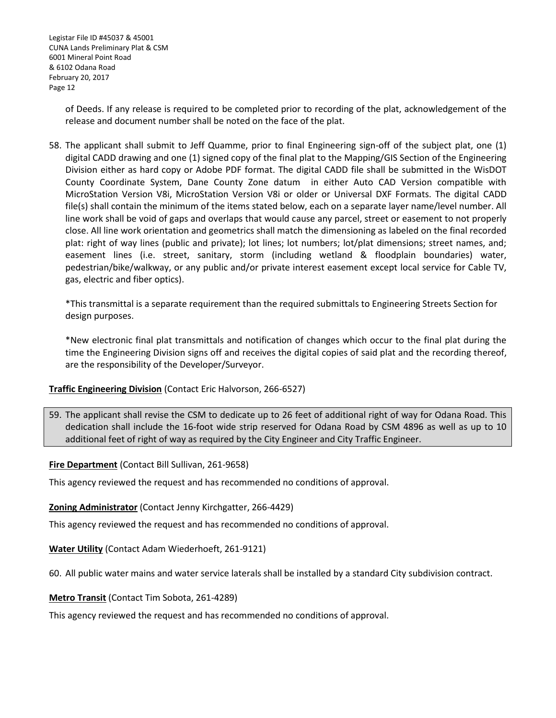of Deeds. If any release is required to be completed prior to recording of the plat, acknowledgement of the release and document number shall be noted on the face of the plat.

58. The applicant shall submit to Jeff Quamme, prior to final Engineering sign-off of the subject plat, one (1) digital CADD drawing and one (1) signed copy of the final plat to the Mapping/GIS Section of the Engineering Division either as hard copy or Adobe PDF format. The digital CADD file shall be submitted in the WisDOT County Coordinate System, Dane County Zone datum in either Auto CAD Version compatible with MicroStation Version V8i, MicroStation Version V8i or older or Universal DXF Formats. The digital CADD file(s) shall contain the minimum of the items stated below, each on a separate layer name/level number. All line work shall be void of gaps and overlaps that would cause any parcel, street or easement to not properly close. All line work orientation and geometrics shall match the dimensioning as labeled on the final recorded plat: right of way lines (public and private); lot lines; lot numbers; lot/plat dimensions; street names, and; easement lines (i.e. street, sanitary, storm (including wetland & floodplain boundaries) water, pedestrian/bike/walkway, or any public and/or private interest easement except local service for Cable TV, gas, electric and fiber optics).

\*This transmittal is a separate requirement than the required submittals to Engineering Streets Section for design purposes.

\*New electronic final plat transmittals and notification of changes which occur to the final plat during the time the Engineering Division signs off and receives the digital copies of said plat and the recording thereof, are the responsibility of the Developer/Surveyor.

## **Traffic Engineering Division** (Contact Eric Halvorson, 266-6527)

59. The applicant shall revise the CSM to dedicate up to 26 feet of additional right of way for Odana Road. This dedication shall include the 16-foot wide strip reserved for Odana Road by CSM 4896 as well as up to 10 additional feet of right of way as required by the City Engineer and City Traffic Engineer.

#### **Fire Department** (Contact Bill Sullivan, 261-9658)

This agency reviewed the request and has recommended no conditions of approval.

#### **Zoning Administrator** (Contact Jenny Kirchgatter, 266-4429)

This agency reviewed the request and has recommended no conditions of approval.

#### **Water Utility** (Contact Adam Wiederhoeft, 261-9121)

60. All public water mains and water service laterals shall be installed by a standard City subdivision contract.

#### **Metro Transit** (Contact Tim Sobota, 261-4289)

This agency reviewed the request and has recommended no conditions of approval.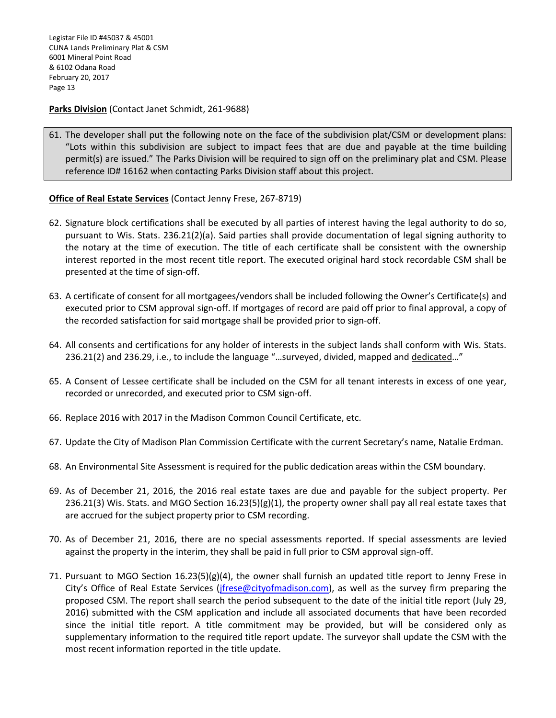Legistar File ID #45037 & 45001 CUNA Lands Preliminary Plat & CSM 6001 Mineral Point Road & 6102 Odana Road February 20, 2017 Page 13

**Parks Division** (Contact Janet Schmidt, 261-9688)

61. The developer shall put the following note on the face of the subdivision plat/CSM or development plans: "Lots within this subdivision are subject to impact fees that are due and payable at the time building permit(s) are issued." The Parks Division will be required to sign off on the preliminary plat and CSM. Please reference ID# 16162 when contacting Parks Division staff about this project.

#### **Office of Real Estate Services** (Contact Jenny Frese, 267-8719)

- 62. Signature block certifications shall be executed by all parties of interest having the legal authority to do so, pursuant to Wis. Stats. 236.21(2)(a). Said parties shall provide documentation of legal signing authority to the notary at the time of execution. The title of each certificate shall be consistent with the ownership interest reported in the most recent title report. The executed original hard stock recordable CSM shall be presented at the time of sign-off.
- 63. A certificate of consent for all mortgagees/vendors shall be included following the Owner's Certificate(s) and executed prior to CSM approval sign-off. If mortgages of record are paid off prior to final approval, a copy of the recorded satisfaction for said mortgage shall be provided prior to sign-off.
- 64. All consents and certifications for any holder of interests in the subject lands shall conform with Wis. Stats. 236.21(2) and 236.29, i.e., to include the language "...surveyed, divided, mapped and dedicated..."
- 65. A Consent of Lessee certificate shall be included on the CSM for all tenant interests in excess of one year, recorded or unrecorded, and executed prior to CSM sign-off.
- 66. Replace 2016 with 2017 in the Madison Common Council Certificate, etc.
- 67. Update the City of Madison Plan Commission Certificate with the current Secretary's name, Natalie Erdman.
- 68. An Environmental Site Assessment is required for the public dedication areas within the CSM boundary.
- 69. As of December 21, 2016, the 2016 real estate taxes are due and payable for the subject property. Per 236.21(3) Wis. Stats. and MGO Section 16.23(5)(g)(1), the property owner shall pay all real estate taxes that are accrued for the subject property prior to CSM recording.
- 70. As of December 21, 2016, there are no special assessments reported. If special assessments are levied against the property in the interim, they shall be paid in full prior to CSM approval sign-off.
- 71. Pursuant to MGO Section 16.23(5)(g)(4), the owner shall furnish an updated title report to Jenny Frese in City's Office of Real Estate Services (*jfrese@cityofmadison.com*), as well as the survey firm preparing the proposed CSM. The report shall search the period subsequent to the date of the initial title report (July 29, 2016) submitted with the CSM application and include all associated documents that have been recorded since the initial title report. A title commitment may be provided, but will be considered only as supplementary information to the required title report update. The surveyor shall update the CSM with the most recent information reported in the title update.